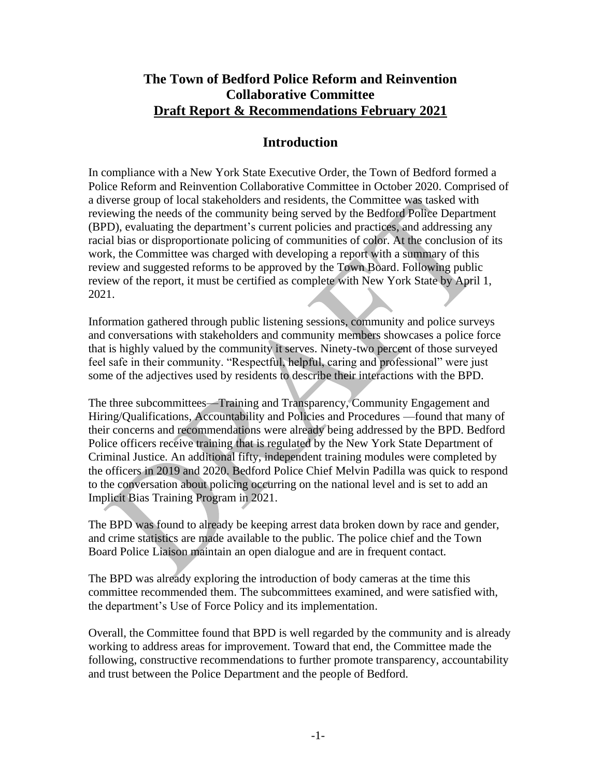## **The Town of Bedford Police Reform and Reinvention Collaborative Committee Draft Report & Recommendations February 2021**

## **Introduction**

In compliance with a New York State Executive Order, the Town of Bedford formed a Police Reform and Reinvention Collaborative Committee in October 2020. Comprised of a diverse group of local stakeholders and residents, the Committee was tasked with reviewing the needs of the community being served by the Bedford Police Department (BPD), evaluating the department's current policies and practices, and addressing any racial bias or disproportionate policing of communities of color. At the conclusion of its work, the Committee was charged with developing a report with a summary of this review and suggested reforms to be approved by the Town Board. Following public review of the report, it must be certified as complete with New York State by April 1, 2021.

Information gathered through public listening sessions, community and police surveys and conversations with stakeholders and community members showcases a police force that is highly valued by the community it serves. Ninety-two percent of those surveyed feel safe in their community. "Respectful, helpful, caring and professional" were just some of the adjectives used by residents to describe their interactions with the BPD.

The three subcommittees—Training and Transparency, Community Engagement and Hiring/Qualifications, Accountability and Policies and Procedures —found that many of their concerns and recommendations were already being addressed by the BPD. Bedford Police officers receive training that is regulated by the New York State Department of Criminal Justice. An additional fifty, independent training modules were completed by the officers in 2019 and 2020. Bedford Police Chief Melvin Padilla was quick to respond to the conversation about policing occurring on the national level and is set to add an Implicit Bias Training Program in 2021.

The BPD was found to already be keeping arrest data broken down by race and gender, and crime statistics are made available to the public. The police chief and the Town Board Police Liaison maintain an open dialogue and are in frequent contact.

The BPD was already exploring the introduction of body cameras at the time this committee recommended them. The subcommittees examined, and were satisfied with, the department's Use of Force Policy and its implementation.

Overall, the Committee found that BPD is well regarded by the community and is already working to address areas for improvement. Toward that end, the Committee made the following, constructive recommendations to further promote transparency, accountability and trust between the Police Department and the people of Bedford.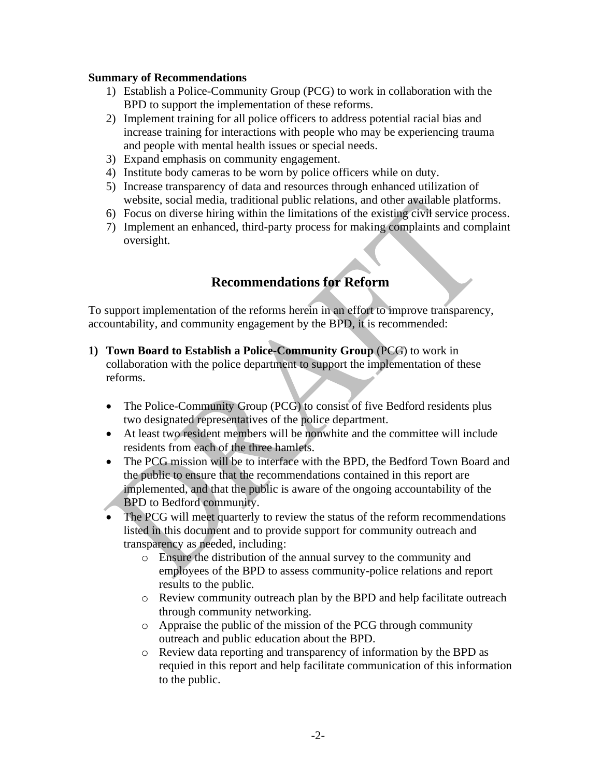#### **Summary of Recommendations**

- 1) Establish a Police-Community Group (PCG) to work in collaboration with the BPD to support the implementation of these reforms.
- 2) Implement training for all police officers to address potential racial bias and increase training for interactions with people who may be experiencing trauma and people with mental health issues or special needs.
- 3) Expand emphasis on community engagement.
- 4) Institute body cameras to be worn by police officers while on duty.
- 5) Increase transparency of data and resources through enhanced utilization of website, social media, traditional public relations, and other available platforms.
- 6) Focus on diverse hiring within the limitations of the existing civil service process.
- 7) Implement an enhanced, third-party process for making complaints and complaint oversight.

## **Recommendations for Reform**

To support implementation of the reforms herein in an effort to improve transparency, accountability, and community engagement by the BPD, it is recommended:

- **1) Town Board to Establish a Police-Community Group** (PCG) to work in collaboration with the police department to support the implementation of these reforms.
	- The Police-Community Group (PCG) to consist of five Bedford residents plus two designated representatives of the police department.
	- At least two resident members will be nonwhite and the committee will include residents from each of the three hamlets.
	- The PCG mission will be to interface with the BPD, the Bedford Town Board and the public to ensure that the recommendations contained in this report are implemented, and that the public is aware of the ongoing accountability of the BPD to Bedford community.
	- The PCG will meet quarterly to review the status of the reform recommendations listed in this document and to provide support for community outreach and transparency as needed, including:
		- o Ensure the distribution of the annual survey to the community and employees of the BPD to assess community-police relations and report results to the public.
		- o Review community outreach plan by the BPD and help facilitate outreach through community networking.
		- o Appraise the public of the mission of the PCG through community outreach and public education about the BPD.
		- o Review data reporting and transparency of information by the BPD as requied in this report and help facilitate communication of this information to the public.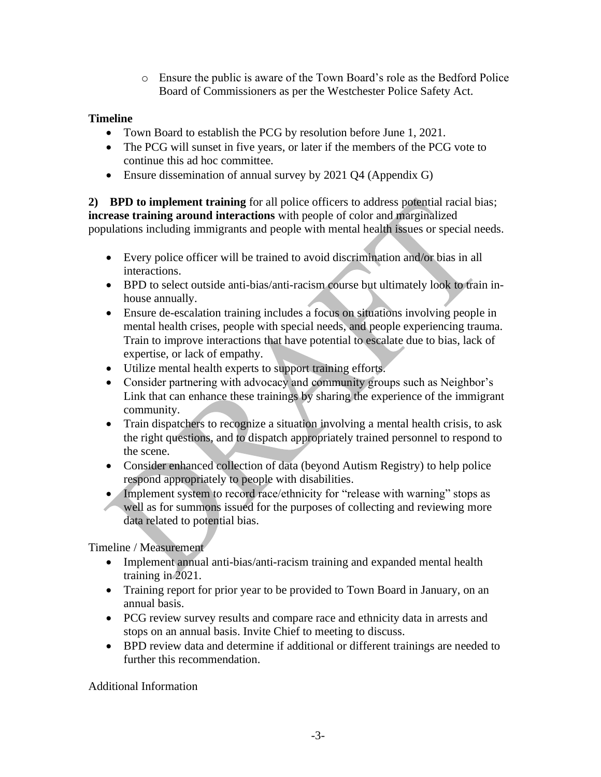o Ensure the public is aware of the Town Board's role as the Bedford Police Board of Commissioners as per the Westchester Police Safety Act.

## **Timeline**

- Town Board to establish the PCG by resolution before June 1, 2021.
- The PCG will sunset in five years, or later if the members of the PCG vote to continue this ad hoc committee.
- Ensure dissemination of annual survey by 2021 O4 (Appendix G)

**2) BPD to implement training** for all police officers to address potential racial bias; **increase training around interactions** with people of color and marginalized populations including immigrants and people with mental health issues or special needs.

- Every police officer will be trained to avoid discrimination and/or bias in all interactions.
- BPD to select outside anti-bias/anti-racism course but ultimately look to train inhouse annually.
- Ensure de-escalation training includes a focus on situations involving people in mental health crises, people with special needs, and people experiencing trauma. Train to improve interactions that have potential to escalate due to bias, lack of expertise, or lack of empathy.
- Utilize mental health experts to support training efforts.
- Consider partnering with advocacy and community groups such as Neighbor's Link that can enhance these trainings by sharing the experience of the immigrant community.
- Train dispatchers to recognize a situation involving a mental health crisis, to ask the right questions, and to dispatch appropriately trained personnel to respond to the scene.
- Consider enhanced collection of data (beyond Autism Registry) to help police respond appropriately to people with disabilities.
- Implement system to record race/ethnicity for "release with warning" stops as well as for summons issued for the purposes of collecting and reviewing more data related to potential bias.

Timeline / Measurement

- Implement annual anti-bias/anti-racism training and expanded mental health training in 2021.
- Training report for prior year to be provided to Town Board in January, on an annual basis.
- PCG review survey results and compare race and ethnicity data in arrests and stops on an annual basis. Invite Chief to meeting to discuss.
- BPD review data and determine if additional or different trainings are needed to further this recommendation.

Additional Information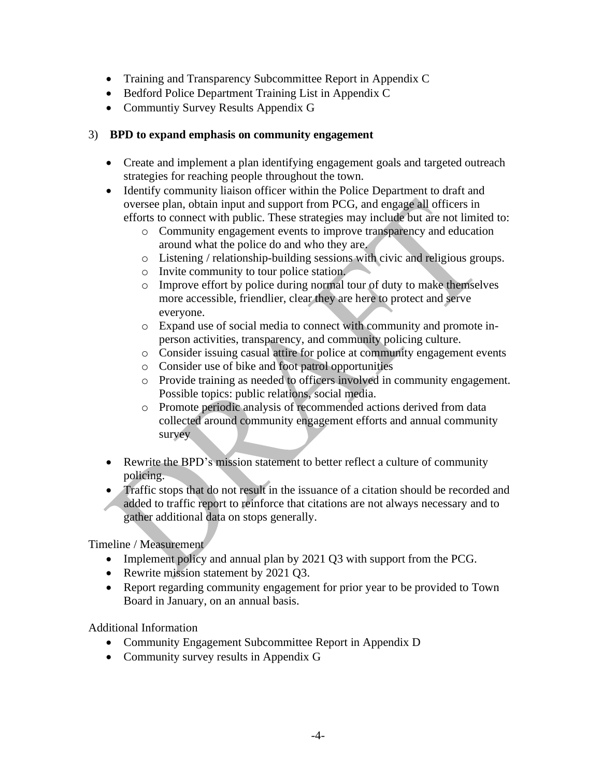- Training and Transparency Subcommittee Report in Appendix C
- Bedford Police Department Training List in Appendix C
- Communtiy Survey Results Appendix G

#### 3) **BPD to expand emphasis on community engagement**

- Create and implement a plan identifying engagement goals and targeted outreach strategies for reaching people throughout the town.
- Identify community liaison officer within the Police Department to draft and oversee plan, obtain input and support from PCG, and engage all officers in efforts to connect with public. These strategies may include but are not limited to:
	- o Community engagement events to improve transparency and education around what the police do and who they are.
	- o Listening / relationship-building sessions with civic and religious groups.
	- o Invite community to tour police station.
	- o Improve effort by police during normal tour of duty to make themselves more accessible, friendlier, clear they are here to protect and serve everyone.
	- o Expand use of social media to connect with community and promote inperson activities, transparency, and community policing culture.
	- o Consider issuing casual attire for police at community engagement events
	- o Consider use of bike and foot patrol opportunities
	- o Provide training as needed to officers involved in community engagement. Possible topics: public relations, social media.
	- o Promote periodic analysis of recommended actions derived from data collected around community engagement efforts and annual community survey
- Rewrite the BPD's mission statement to better reflect a culture of community policing.
- Traffic stops that do not result in the issuance of a citation should be recorded and added to traffic report to reinforce that citations are not always necessary and to gather additional data on stops generally.

Timeline / Measurement

- Implement policy and annual plan by 2021 Q3 with support from the PCG.
- Rewrite mission statement by 2021 Q3.
- Report regarding community engagement for prior year to be provided to Town Board in January, on an annual basis.

Additional Information

- Community Engagement Subcommittee Report in Appendix D
- Community survey results in Appendix G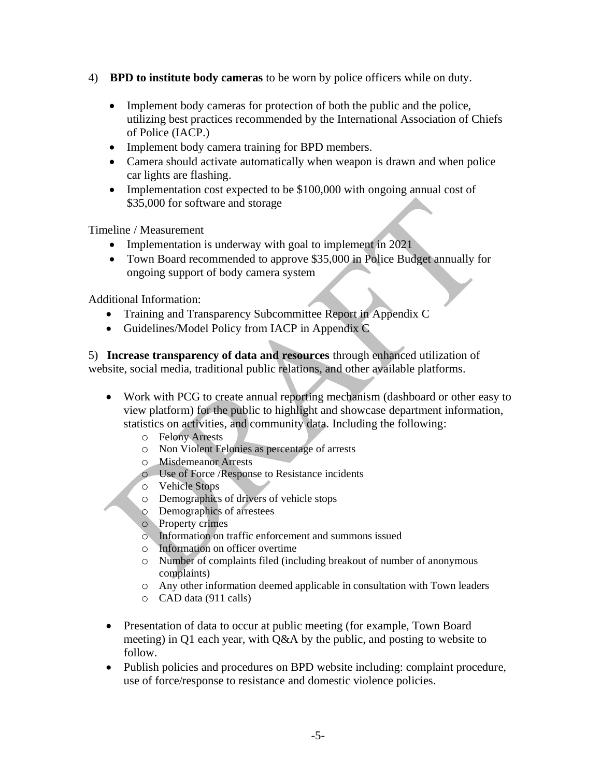- 4) **BPD to institute body cameras** to be worn by police officers while on duty.
	- Implement body cameras for protection of both the public and the police, utilizing best practices recommended by the International Association of Chiefs of Police (IACP.)
	- Implement body camera training for BPD members.
	- Camera should activate automatically when weapon is drawn and when police car lights are flashing.
	- Implementation cost expected to be \$100,000 with ongoing annual cost of \$35,000 for software and storage

Timeline / Measurement

- Implementation is underway with goal to implement in 2021
- Town Board recommended to approve \$35,000 in Police Budget annually for ongoing support of body camera system

Additional Information:

- Training and Transparency Subcommittee Report in Appendix C
- Guidelines/Model Policy from IACP in Appendix C

5) **Increase transparency of data and resources** through enhanced utilization of website, social media, traditional public relations, and other available platforms.

- Work with PCG to create annual reporting mechanism (dashboard or other easy to view platform) for the public to highlight and showcase department information, statistics on activities, and community data. Including the following:
	- o Felony Arrests
	- o Non Violent Felonies as percentage of arrests
	- o Misdemeanor Arrests
	- o Use of Force /Response to Resistance incidents
	- o Vehicle Stops
	- o Demographics of drivers of vehicle stops
	- o Demographics of arrestees
	- o Property crimes
	- o Information on traffic enforcement and summons issued
	- o Information on officer overtime
	- o Number of complaints filed (including breakout of number of anonymous complaints)
	- o Any other information deemed applicable in consultation with Town leaders
	- o CAD data (911 calls)
- Presentation of data to occur at public meeting (for example, Town Board meeting) in Q1 each year, with Q&A by the public, and posting to website to follow.
- Publish policies and procedures on BPD website including: complaint procedure, use of force/response to resistance and domestic violence policies.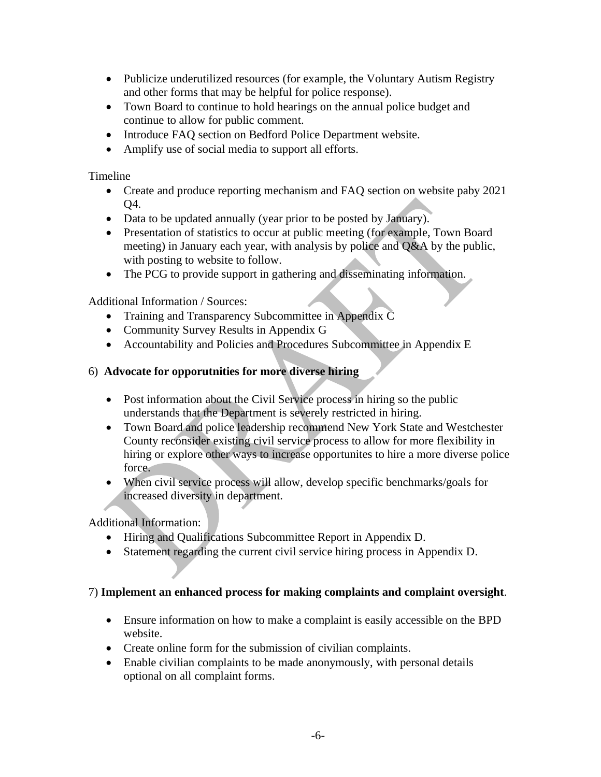- Publicize underutilized resources (for example, the Voluntary Autism Registry and other forms that may be helpful for police response).
- Town Board to continue to hold hearings on the annual police budget and continue to allow for public comment.
- Introduce FAQ section on Bedford Police Department website.
- Amplify use of social media to support all efforts.

Timeline

- Create and produce reporting mechanism and FAQ section on website paby 2021 Q4.
- Data to be updated annually (year prior to be posted by January).
- Presentation of statistics to occur at public meeting (for example, Town Board meeting) in January each year, with analysis by police and Q&A by the public, with posting to website to follow.
- The PCG to provide support in gathering and disseminating information.

Additional Information / Sources:

- Training and Transparency Subcommittee in Appendix C
- Community Survey Results in Appendix G
- Accountability and Policies and Procedures Subcommittee in Appendix E

#### 6) **Advocate for opporutnities for more diverse hiring**

- Post information about the Civil Service process in hiring so the public understands that the Department is severely restricted in hiring.
- Town Board and police leadership recommend New York State and Westchester County reconsider existing civil service process to allow for more flexibility in hiring or explore other ways to increase opportunites to hire a more diverse police force.
- When civil service process will allow, develop specific benchmarks/goals for increased diversity in department.

Additional Information:

- Hiring and Qualifications Subcommittee Report in Appendix D.
- Statement regarding the current civil service hiring process in Appendix D.

#### 7) **Implement an enhanced process for making complaints and complaint oversight**.

- Ensure information on how to make a complaint is easily accessible on the BPD website.
- Create online form for the submission of civilian complaints.
- Enable civilian complaints to be made anonymously, with personal details optional on all complaint forms.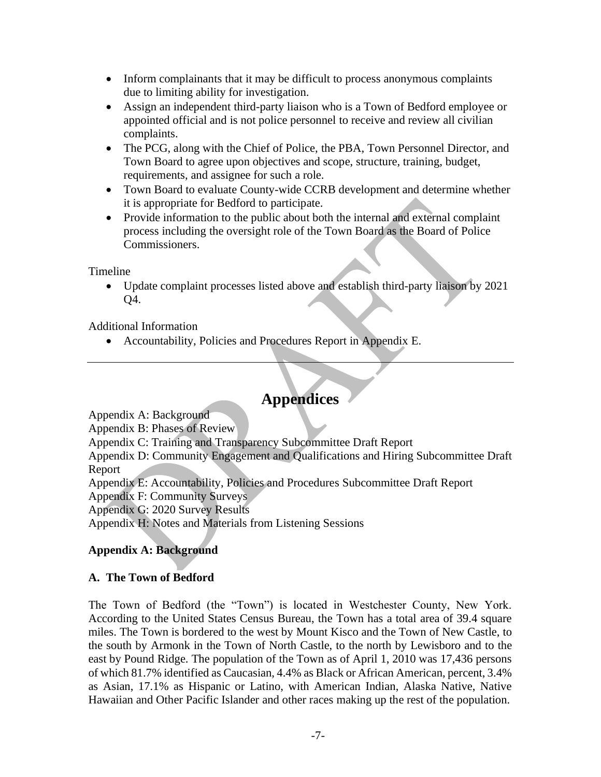- Inform complainants that it may be difficult to process anonymous complaints due to limiting ability for investigation.
- Assign an independent third-party liaison who is a Town of Bedford employee or appointed official and is not police personnel to receive and review all civilian complaints.
- The PCG, along with the Chief of Police, the PBA, Town Personnel Director, and Town Board to agree upon objectives and scope, structure, training, budget, requirements, and assignee for such a role.
- Town Board to evaluate County-wide CCRB development and determine whether it is appropriate for Bedford to participate.
- Provide information to the public about both the internal and external complaint process including the oversight role of the Town Board as the Board of Police Commissioners.

Timeline

• Update complaint processes listed above and establish third-party liaison by 2021 Q4.

Additional Information

• Accountability, Policies and Procedures Report in Appendix E.

# **Appendices**

Appendix A: Background

Appendix B: Phases of Review

Appendix C: Training and Transparency Subcommittee Draft Report

Appendix D: Community Engagement and Qualifications and Hiring Subcommittee Draft Report

Appendix E: Accountability, Policies and Procedures Subcommittee Draft Report

Appendix F: Community Surveys

Appendix G: 2020 Survey Results

Appendix H: Notes and Materials from Listening Sessions

## **Appendix A: Background**

#### **A. The Town of Bedford**

The Town of Bedford (the "Town") is located in Westchester County, New York. According to the United States Census Bureau, the Town has a total area of 39.4 square miles. The Town is bordered to the west by Mount Kisco and the Town of New Castle, to the south by Armonk in the Town of North Castle, to the north by Lewisboro and to the east by Pound Ridge. The population of the Town as of April 1, 2010 was 17,436 persons of which 81.7% identified as Caucasian, 4.4% as Black or African American, percent, 3.4% as Asian, 17.1% as Hispanic or Latino, with American Indian, Alaska Native, Native Hawaiian and Other Pacific Islander and other races making up the rest of the population.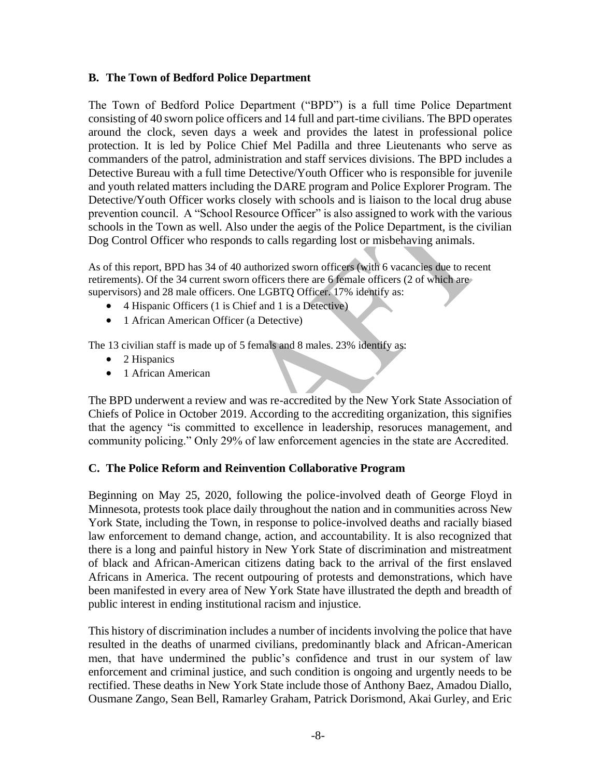#### **B. The Town of Bedford Police Department**

The Town of Bedford Police Department ("BPD") is a full time Police Department consisting of 40 sworn police officers and 14 full and part-time civilians. The BPD operates around the clock, seven days a week and provides the latest in professional police protection. It is led by Police Chief Mel Padilla and three Lieutenants who serve as commanders of the patrol, administration and staff services divisions. The BPD includes a Detective Bureau with a full time Detective/Youth Officer who is responsible for juvenile and youth related matters including the DARE program and Police Explorer Program. The Detective/Youth Officer works closely with schools and is liaison to the local drug abuse prevention council. A "School Resource Officer" is also assigned to work with the various schools in the Town as well. Also under the aegis of the Police Department, is the civilian Dog Control Officer who responds to calls regarding lost or misbehaving animals.

As of this report, BPD has 34 of 40 authorized sworn officers (with 6 vacancies due to recent retirements). Of the 34 current sworn officers there are 6 female officers (2 of which are supervisors) and 28 male officers. One LGBTQ Officer. 17% identify as:

- 4 Hispanic Officers (1 is Chief and 1 is a Detective)
- 1 African American Officer (a Detective)

The 13 civilian staff is made up of 5 femals and 8 males. 23% identify as:

- 2 Hispanics
- 1 African American

The BPD underwent a review and was re-accredited by the New York State Association of Chiefs of Police in October 2019. According to the accrediting organization, this signifies that the agency "is committed to excellence in leadership, resoruces management, and community policing." Only 29% of law enforcement agencies in the state are Accredited.

#### **C. The Police Reform and Reinvention Collaborative Program**

Beginning on May 25, 2020, following the police-involved death of George Floyd in Minnesota, protests took place daily throughout the nation and in communities across New York State, including the Town, in response to police-involved deaths and racially biased law enforcement to demand change, action, and accountability. It is also recognized that there is a long and painful history in New York State of discrimination and mistreatment of black and African-American citizens dating back to the arrival of the first enslaved Africans in America. The recent outpouring of protests and demonstrations, which have been manifested in every area of New York State have illustrated the depth and breadth of public interest in ending institutional racism and injustice.

This history of discrimination includes a number of incidents involving the police that have resulted in the deaths of unarmed civilians, predominantly black and African-American men, that have undermined the public's confidence and trust in our system of law enforcement and criminal justice, and such condition is ongoing and urgently needs to be rectified. These deaths in New York State include those of Anthony Baez, Amadou Diallo, Ousmane Zango, Sean Bell, Ramarley Graham, Patrick Dorismond, Akai Gurley, and Eric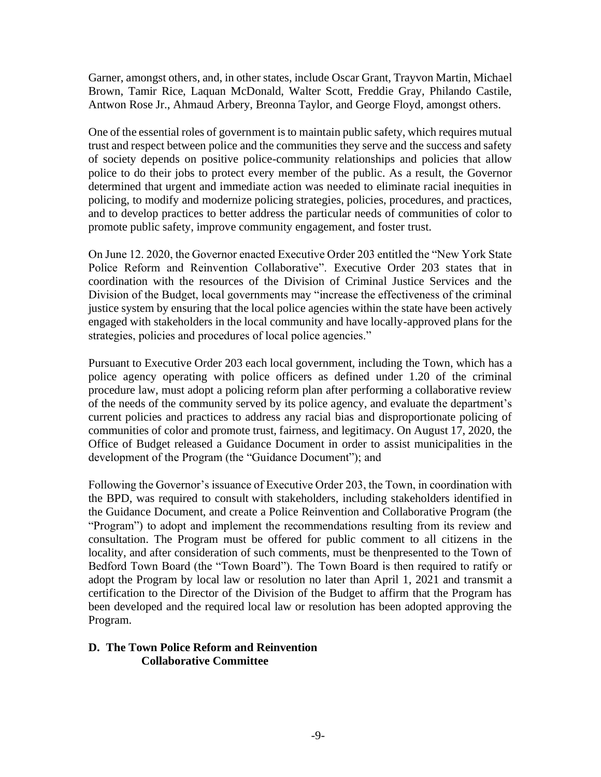Garner, amongst others, and, in other states, include Oscar Grant, Trayvon Martin, Michael Brown, Tamir Rice, Laquan McDonald, Walter Scott, Freddie Gray, Philando Castile, Antwon Rose Jr., Ahmaud Arbery, Breonna Taylor, and George Floyd, amongst others.

One of the essential roles of government is to maintain public safety, which requires mutual trust and respect between police and the communities they serve and the success and safety of society depends on positive police-community relationships and policies that allow police to do their jobs to protect every member of the public. As a result, the Governor determined that urgent and immediate action was needed to eliminate racial inequities in policing, to modify and modernize policing strategies, policies, procedures, and practices, and to develop practices to better address the particular needs of communities of color to promote public safety, improve community engagement, and foster trust.

On June 12. 2020, the Governor enacted Executive Order 203 entitled the "New York State Police Reform and Reinvention Collaborative". Executive Order 203 states that in coordination with the resources of the Division of Criminal Justice Services and the Division of the Budget, local governments may "increase the effectiveness of the criminal justice system by ensuring that the local police agencies within the state have been actively engaged with stakeholders in the local community and have locally-approved plans for the strategies, policies and procedures of local police agencies."

Pursuant to Executive Order 203 each local government, including the Town, which has a police agency operating with police officers as defined under 1.20 of the criminal procedure law, must adopt a policing reform plan after performing a collaborative review of the needs of the community served by its police agency, and evaluate the department's current policies and practices to address any racial bias and disproportionate policing of communities of color and promote trust, fairness, and legitimacy. On August 17, 2020, the Office of Budget released a Guidance Document in order to assist municipalities in the development of the Program (the "Guidance Document"); and

Following the Governor's issuance of Executive Order 203, the Town, in coordination with the BPD, was required to consult with stakeholders, including stakeholders identified in the Guidance Document, and create a Police Reinvention and Collaborative Program (the "Program") to adopt and implement the recommendations resulting from its review and consultation. The Program must be offered for public comment to all citizens in the locality, and after consideration of such comments, must be thenpresented to the Town of Bedford Town Board (the "Town Board"). The Town Board is then required to ratify or adopt the Program by local law or resolution no later than April 1, 2021 and transmit a certification to the Director of the Division of the Budget to affirm that the Program has been developed and the required local law or resolution has been adopted approving the Program.

#### **D. The Town Police Reform and Reinvention Collaborative Committee**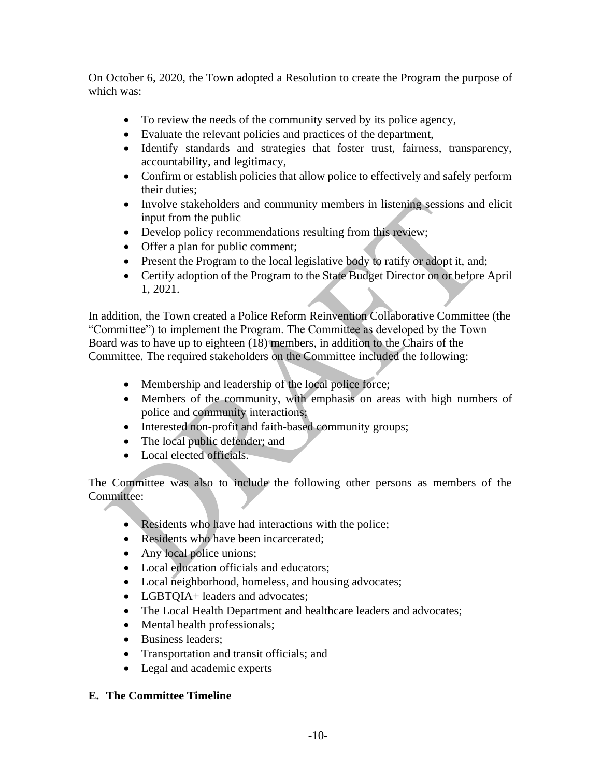On October 6, 2020, the Town adopted a Resolution to create the Program the purpose of which was:

- To review the needs of the community served by its police agency,
- Evaluate the relevant policies and practices of the department,
- Identify standards and strategies that foster trust, fairness, transparency, accountability, and legitimacy,
- Confirm or establish policies that allow police to effectively and safely perform their duties;
- Involve stakeholders and community members in listening sessions and elicit input from the public
- Develop policy recommendations resulting from this review;
- Offer a plan for public comment;
- Present the Program to the local legislative body to ratify or adopt it, and;
- Certify adoption of the Program to the State Budget Director on or before April 1, 2021.

In addition, the Town created a Police Reform Reinvention Collaborative Committee (the "Committee") to implement the Program. The Committee as developed by the Town Board was to have up to eighteen (18) members, in addition to the Chairs of the Committee. The required stakeholders on the Committee included the following:

- Membership and leadership of the local police force;
- Members of the community, with emphasis on areas with high numbers of police and community interactions;
- Interested non-profit and faith-based community groups;
- The local public defender; and
- Local elected officials.

The Committee was also to include the following other persons as members of the Committee:

- Residents who have had interactions with the police;
- Residents who have been incarcerated:
- Any local police unions;
- Local education officials and educators;
- Local neighborhood, homeless, and housing advocates;
- LGBTOIA+ leaders and advocates;
- The Local Health Department and healthcare leaders and advocates;
- Mental health professionals;
- Business leaders:
- Transportation and transit officials; and
- Legal and academic experts

## **E. The Committee Timeline**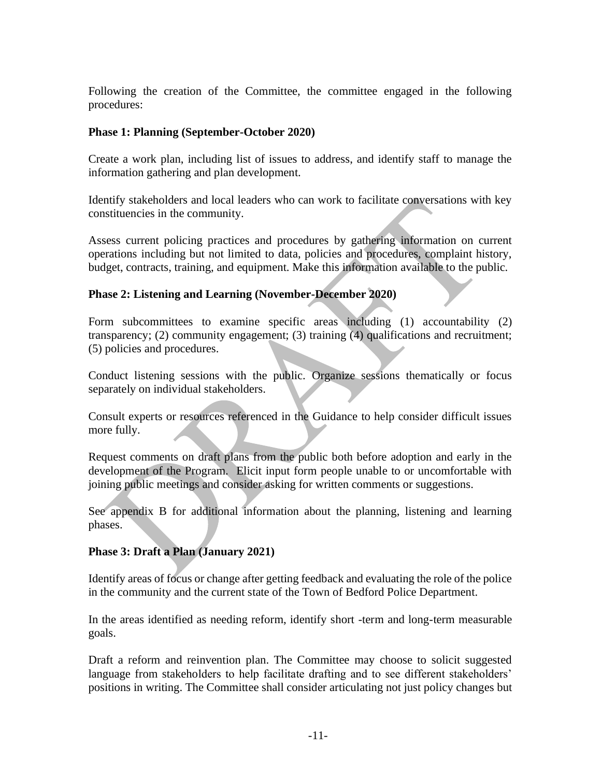Following the creation of the Committee, the committee engaged in the following procedures:

#### **Phase 1: Planning (September-October 2020)**

Create a work plan, including list of issues to address, and identify staff to manage the information gathering and plan development.

Identify stakeholders and local leaders who can work to facilitate conversations with key constituencies in the community.

Assess current policing practices and procedures by gathering information on current operations including but not limited to data, policies and procedures, complaint history, budget, contracts, training, and equipment. Make this information available to the public.

#### **Phase 2: Listening and Learning (November-December 2020)**

Form subcommittees to examine specific areas including (1) accountability (2) transparency; (2) community engagement; (3) training (4) qualifications and recruitment; (5) policies and procedures.

Conduct listening sessions with the public. Organize sessions thematically or focus separately on individual stakeholders.

Consult experts or resources referenced in the Guidance to help consider difficult issues more fully.

Request comments on draft plans from the public both before adoption and early in the development of the Program. Elicit input form people unable to or uncomfortable with joining public meetings and consider asking for written comments or suggestions.

See appendix B for additional information about the planning, listening and learning phases.

#### **Phase 3: Draft a Plan (January 2021)**

Identify areas of focus or change after getting feedback and evaluating the role of the police in the community and the current state of the Town of Bedford Police Department.

In the areas identified as needing reform, identify short -term and long-term measurable goals.

Draft a reform and reinvention plan. The Committee may choose to solicit suggested language from stakeholders to help facilitate drafting and to see different stakeholders' positions in writing. The Committee shall consider articulating not just policy changes but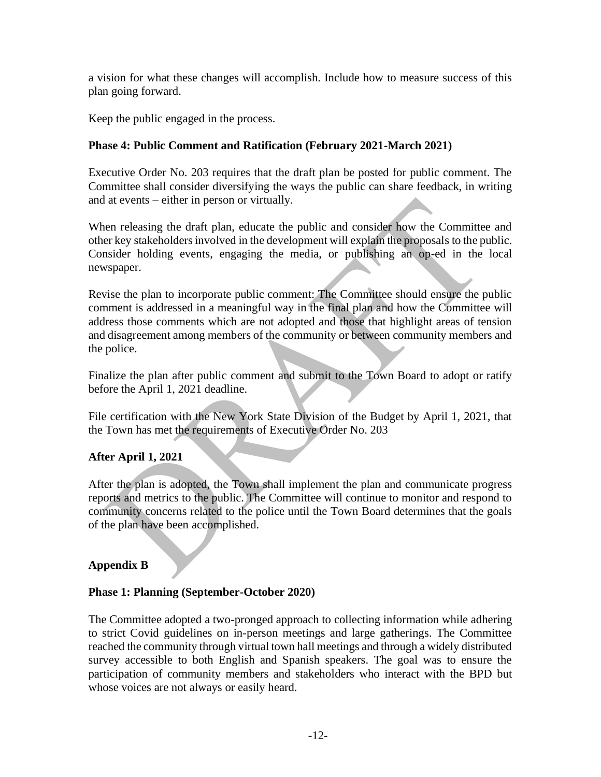a vision for what these changes will accomplish. Include how to measure success of this plan going forward.

Keep the public engaged in the process.

#### **Phase 4: Public Comment and Ratification (February 2021-March 2021)**

Executive Order No. 203 requires that the draft plan be posted for public comment. The Committee shall consider diversifying the ways the public can share feedback, in writing and at events – either in person or virtually.

When releasing the draft plan, educate the public and consider how the Committee and other key stakeholders involved in the development will explain the proposals to the public. Consider holding events, engaging the media, or publishing an op-ed in the local newspaper.

Revise the plan to incorporate public comment: The Committee should ensure the public comment is addressed in a meaningful way in the final plan and how the Committee will address those comments which are not adopted and those that highlight areas of tension and disagreement among members of the community or between community members and the police.

Finalize the plan after public comment and submit to the Town Board to adopt or ratify before the April 1, 2021 deadline.

File certification with the New York State Division of the Budget by April 1, 2021, that the Town has met the requirements of Executive Order No. 203

#### **After April 1, 2021**

After the plan is adopted, the Town shall implement the plan and communicate progress reports and metrics to the public. The Committee will continue to monitor and respond to community concerns related to the police until the Town Board determines that the goals of the plan have been accomplished.

#### **Appendix B**

#### **Phase 1: Planning (September-October 2020)**

The Committee adopted a two-pronged approach to collecting information while adhering to strict Covid guidelines on in-person meetings and large gatherings. The Committee reached the community through virtual town hall meetings and through a widely distributed survey accessible to both English and Spanish speakers. The goal was to ensure the participation of community members and stakeholders who interact with the BPD but whose voices are not always or easily heard.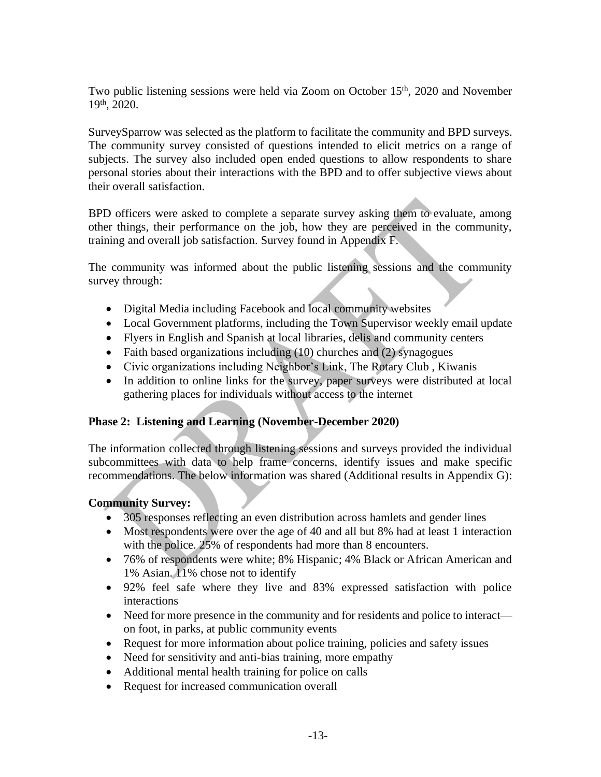Two public listening sessions were held via Zoom on October  $15<sup>th</sup>$ , 2020 and November 19th, 2020.

SurveySparrow was selected as the platform to facilitate the community and BPD surveys. The community survey consisted of questions intended to elicit metrics on a range of subjects. The survey also included open ended questions to allow respondents to share personal stories about their interactions with the BPD and to offer subjective views about their overall satisfaction.

BPD officers were asked to complete a separate survey asking them to evaluate, among other things, their performance on the job, how they are perceived in the community, training and overall job satisfaction. Survey found in Appendix F.

The community was informed about the public listening sessions and the community survey through:

- Digital Media including Facebook and local community websites
- Local Government platforms, including the Town Supervisor weekly email update
- Flyers in English and Spanish at local libraries, delis and community centers
- Faith based organizations including (10) churches and (2) synagogues
- Civic organizations including Neighbor's Link, The Rotary Club , Kiwanis
- In addition to online links for the survey, paper surveys were distributed at local gathering places for individuals without access to the internet

#### **Phase 2: Listening and Learning (November-December 2020)**

The information collected through listening sessions and surveys provided the individual subcommittees with data to help frame concerns, identify issues and make specific recommendations. The below information was shared (Additional results in Appendix G):

#### **Community Survey:**

- 305 responses reflecting an even distribution across hamlets and gender lines
- Most respondents were over the age of 40 and all but 8% had at least 1 interaction with the police. 25% of respondents had more than 8 encounters.
- 76% of respondents were white; 8% Hispanic; 4% Black or African American and 1% Asian. 11% chose not to identify
- 92% feel safe where they live and 83% expressed satisfaction with police interactions
- Need for more presence in the community and for residents and police to interact on foot, in parks, at public community events
- Request for more information about police training, policies and safety issues
- Need for sensitivity and anti-bias training, more empathy
- Additional mental health training for police on calls
- Request for increased communication overall